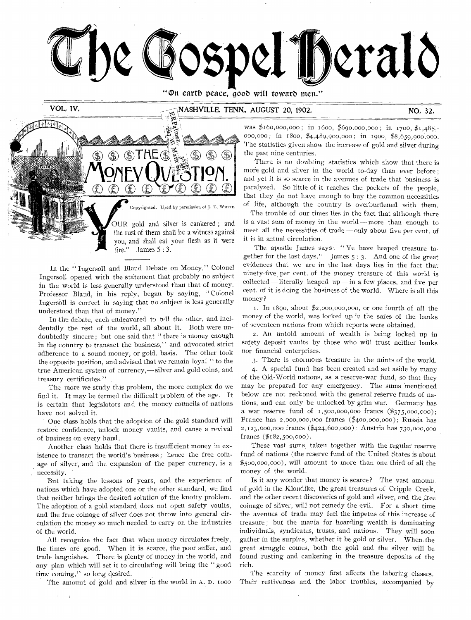

"On earth peace, good will toward men."

VOL, IV,

# NASHVILLE, TENN., AUGUST 20, 1902. NO, 32.

!?;  $\mathbb{G}$  $\mathcal{L}$ Copyrighted. Used by permission of J. E. WHITE. OUR gold and silver is cankered ; and the rust of them shall be a witness against' you, and shall eat your flesh as it were fire." James  $5:3$ .

In the " Ingersoll and Bland Debate on Money," Colonel Ingersoll opened with the statement that probably no subject in the world is less generally understood than that of money. Professor Bland, in his reply, began by saying, " Colonel Ingersoll is correct in saying that no subject is less generally understood than that of money."

In the debate, each endeavored to tell the other, and incidentally the rest of the world, all about it. Both were undoubtedly sincere ; but one said that " there is money enough in the country to transact the business," and advocated strict adherence to a sound money, or gold, basis. The other took the opposite position, and advised that we remain loyal " to the true American system of currency,— silver and gold coins, and treasury certificates."

The more we study this problem, the more complex do we find it. It may be termed the difficult problem of the age. It is certain that legislators and the money councils of nations have not solved it.

One class holds that the adoption of the gold standard will restore confidence, unlock money vaults, and cause a revival of business on every hand.

Another class holds that there is insufficient money in existence to transact the world's business ; hence the free coinage of silver, and the expansion of the paper currency, is a necessity.

But taking the lessons of years, and the experience of nations which have adopted one or the other standard, we find that neither brings the desired solution of the knotty problem. The adoption of a gold standard does not open safety vaults, and the free coinage of silver does not throw into general circulation the money so much needed to carry on the industries Of the world.

All recognize the fact that when money circulates freely, the times are good. When it is scarce, the poor suffer, and trade languishes. There is plenty of money in the world, and any plan which will set it to circulating will bring the " good time coming," so long desired.

The amount of gold and silver in the world in A. D. 1000

 $\mathbf{I}$ 

was \$160,000,000; in 1600, \$690,000,000; in 1700, \$1,485,-000,000; in 1800, \$4,489,900,000; in 1900, \$8,659,900,000. The statistics given show the increase of gold and silver during the past nine centuries.

There is no doubting statistics which show that there is more gold and silver in the world to-day than ever before ; and yet it is so scarce in the avenues of trade that business is paralyzed. So little of it reaches the pockets of the people, that they do not have enough to buy the common necessities of life, although the country is overburdened with them.

The trouble of our times lies in the fact that although there is a vast sum of money in the world—more than enough to meet all the necessities of trade—only about five per cent. of it is in actual circulation.

The apostle James says: "Ye have heaped treasure together for the last days." James  $5:3$ . And one of the great evidences that we are in the last days lies in the fact that ninety-five per cent. of the money treasure of this world is collected—literally heaped up —in a few places, and five per cent. of it is doing the business of the world. Where is all this money?

1. In 1890, about  $\frac{6}{2}$ ,000,000,000, or one fourth of all the money of the world, was locked up in the safes of the banks of seventeen nations from which reports were obtained.

2. An untold amount of wealth is being locked up in safety deposit vaults by those who will trust neither banks nor financial enterprises.

3. There is enormous treasure in the mints of the world.

4. A special fund has been created and set aside by many of the Old-World nations, as a reserve-war fund, so that they may be prepared for any emergency. The sums mentioned below are not reckoned with the general reserve funds of nations, and can only be unlocked by grim war. Germany has a war reserve fund of  $1,500,000,000$  francs  $(\frac{6}{375},000,000)$ ; Prance has 2, 000, 000,000 francs (\$400,000,000); Russia has 2,123,000,000 francs (\$424,600,000); Austria has 730,000,000 francs (\$182,500,000).

These vast sums, taken together with the regular reserve fund of nations (the reserve fund of the United States is about \$500,000,000), will amount to more than one third of all the money of the world.

Is it any wonder that money is scarce? The vast amount of gold in the Klondike, the great treasures of Cripple Creek, and the other recent discoveries of gold and silver, and the free coinage of silver, will not remedy the evil. Por a short time the avenues of trade may feel the impetus of this increase of treasure ; but the mania for hoarding wealth is dominating individuals, syndicates, trusts, and nations. They will soon gather in the surplus, whether it be gold or silver. When: the great struggle comes, both the gold and the silver will be found rusting and cankering in the treasure deposits of the rich.

The scarcity of money first affects the laboring classes. Their restiveness and the labor troubles, accompanied by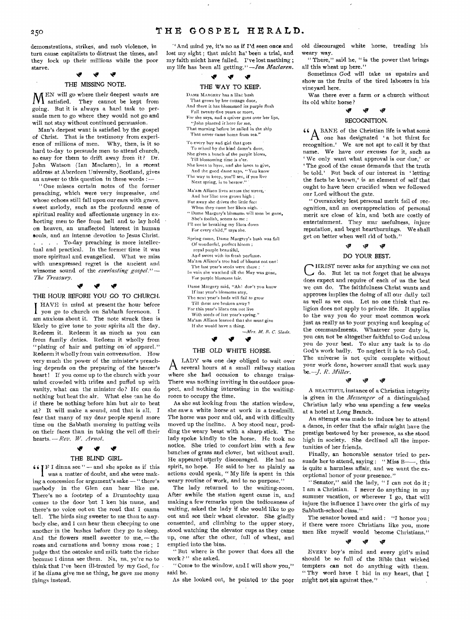# 250 THE GOSPEL HERALD.

demonstrations, strikes, and mob violence, in turn cause capitalists to distrust the times, and they lock up their millions while the poor starve.

*olv "P* 

#### THE MISSING NOTE,

**A A** EN will go where their deepest wants are 1. satisfied. They cannot be kept from going. But it is always a hard task to persuade men to go where they would not go and will not stay without continued persuasion.

Man's deepest want is satisfied by the gospel of Christ. That is the testimony from experience of millions of men. Why, then, is it so hard to-day to persuade men to attend church, so easy for them to drift away from it ? Dr. John Watson (Ian Maclaren), in a recent address at Aberdeen University, Scotland, gives an answer to this question in these words :—

" One misses certain notes of the former preaching, which were very impressive, and whose echoes still fall upon our ears with grave, sweet melody, such as the profound sense of spiritual reality and affectionate urgency in exhorting men to flee from hell and to lay hold on heaven, an unaffected interest in human souls, and an intense devotion to Jesus Christ. . . . . To-day preaching is more intellectual and practical. In the former time it was more spiritual and evangelical. What we miss with unexpressed regret is the ancient and winsome sound of the *everlasting gospel." — The Treasury.* 

*Nir \*IP* 

# THE HOUR BEFORE YOU GO TO CHURCH,

**I** HAVE in mind at present the hour before 1 you go to church on Sabbath forenoon. I am anxious about it. The note struck then is likely to give tone to your spirits all the day. Redeem it. Redeem it as much as you can from family duties. Redeem it wholly from "plating of hair and putting on 'of apparel." Redeem it wholly from vain conversation. How very much the power of the minister's preaching depends on the preparing of the hearer's heart ! If you come up to the church with your mind crowded with trifles and puffed up with vanity, what can the minister do? He can do nothing but beat the air. What else can he do if there be nothing before him but air to beat at? It will make a sound, and that is all. I fear that many of my dear people spend more time on the Sabbath morning in putting veils on their faces than in taking the veil off their hearts. *—Rev. W. Arnol.* 

#### ي *"P*

#### THE BLIND GIRL.

 $G F I$  dinna see " — and she spoke as if this I was a matter of doubt, and she were making a concession for argument's sake — " there's naebody in the Glen can hear like me. There's no a footstep of a Drumtochty man comes to the door but I ken his name, and there's no voice oot on the road that I canna tell. The birds sing sweeter to me than to anybody else, and I can hear them cheeping to one another in the bushes before they go to sleep. And the flowers smell sweeter to me, — the roses and carnations and bonny moss rose ; I judge that the oatcake and milk taste the richer because I dinna see them. Na, na, ye're no to think that I've been ill-treated by my God, for if he dinna give me ae thing, he gave me mony things instead.

'' And mind ye, it's no as if I'd seen once and lost my sight ; that micht ha' been a trial, and my faith micht have failed. I've lost naething ; my life has been all getting." *—Ian Maclaren.* 

# *+41*

THE WAY TO KEEP,

- DAME MARGERY has a lilac bush That grows by her cottage door, And there it has blossomed its purple flush
- Full twenty-five years or more,
- For she says, and a quiver goes over her lips, "John planted it here for me,
- That morning before he sailed in the ship That never came home from sea."
- To every boy and girl that goes To school by the kind dame's door,
- She gives a bunch of the purple blows, Till blossoming time is o'er.
- She loves to have, and she loves to give,
- And the good dame says, "You know The way to keep, you'll see, if you live Next spring, is to bestow.
- Ma'am Allison lives across the street, And her lilac tree grows high ;
- But away she drives the little feet
- When they come her lilacs nigh. " Dame Margery's blossoms will soon be gone, She's foolish, seems to me ;
- I'll not be breaking my lilacs down For every child," says she.
- Spring came, Dame Margery's bush was full *Of* wonderful, perfect bloom ; royal purple beautiful,
- And sweet with its fresh perfume. Ma'am Allison's tree had of blooms not one!
- The last year's seeds were there ; In vain she watched till the May was gone,
- For purple blossoms fair. Dame Margery said, "All! don't you know
- If last year's-blossoms stay,
- The next year's buds will fail to grow Till these are broken away?
- For this year's lilacs can not live
- With seeds of *last* year's *spring."*
- Ma'am Allison learned that she must give If she would have a thing.
	- *—Mrs. M. B. C. Slade,*  ی ی

#### THE OLD WHITE HORSE,

A LADY was one day obliged to wait over LADY was one day obliged to wait over where she had occasion to change trains. There was nothing inviting in the outdoor prospect, and nothing interesting in the waitingroom to occupy the time.

As she sat looking from the station window, she saw a white horse at work in a treadmill. The horse was poor and old, and with difficulty moved up the incline. A boy stood near, prodding the weary beast with a sharp stick. The lady spoke kindly to the horse. He took no notice. She tried to comfort him with a few bunches of grass and clover, but without avail. He appeared utterly discouraged. He had no spirit, no hope. He said to her as plainly as actions could speak, " My life is spent in this weary routine of work, and to no purpose."

The lady returned to the waiting-room. After awhile the station agent came in, and making a few remarks upon the tediousness of waiting, asked the lady if she would like to go out and see their wheat elevator. She gladly consented, and climbing to the upper story, stood watching the elevator cups as they came up, one after the other, full of wheat, and emptied into the bins.

" But where is the power that does all the work ? " she asked.

" Come to the window, and I will show you," said he.

As she looked out, he pointed to' the popr

old discouraged white horse, treading his weary way.

" There," said he, " is the power that brings all this wheat up here."

Sometimes God will take us upstairs and show us the fruits of the tired laborers in his vineyard here.

Was there ever a farm or a church without its old white horse ?

# ta fa 4<sub>3</sub><br>"

#### RECOGNITION,

44 **A** BANE of the Christian life is what some  $A$  one has designated 'a hot thirst for recognition.' We are not apt to call it by that name. We have our excuses for it, such as We only want what approval is our due,' or The good of the cause demands that the truth be told.' But back of our interest in 'letting the facts be known,' is an element of self that ought to have been crucified when we followed our Lord without the gate.

" Overanxiety lest personal merit fail of recognition, and an overappreciation of personal merit are close of kin, and both are costly of entertainment. They mar usefulness, injure reputation, and beget heartburnings. We shall get on better when well rid of both."

# • tls tla

#### DO YOUR BEST,

C do. But let *us* not forget that he always HRIST never asks for anything we can not does expect and require of each of us the best we can do. The faithfulness Christ wants and approves implies the doing of all our daily toil as well as we can. Let no one think that religion does not apply to private life. It applies to the way you do your most common work just as really as to your praying and keeping of the commandments. Whatever your duty is, you can not be altogether faithful to God unless you do your best. To slur any task *is* to do God's work badly. To neglect it is to rob God. The universe is not quite complete without your work done, however small that work may be.-*J. R. Miller*.

# • 'P 'F

A BEAUTIFUL instance of a Christian integrity is given in the *Messenger* of a distinguished Christian lady who was spending a few weeks at a hotel at Long Branch.

An attempt was made to induce her to attend a dance, in order that the affair might have the prestige bestowed by her presence, as she stood high in society. She declined all the importunities of her friends.

Finally, an honorable senator tried to persuade her to attend, saying : " Miss B-, this is quite a harmless affair, and we want the exceptional honor of your presence."

" Senator," said the lady, " I can not do it ; I am a Christian. I never do anything in my summer vacation, or wherever I go, that will injure the influence I have over the girls of my Sabbath-school class."

The senator bowed and said : "I honor you ; if there were more Christians like you, more men like myself would become Christians."

# • \r/

EVERY boy's mind and every girl's mind should be so full of the Bible that wicked tempters can not do anything with them. " Thy word have I hid in my heart, that I might not sin against thee,"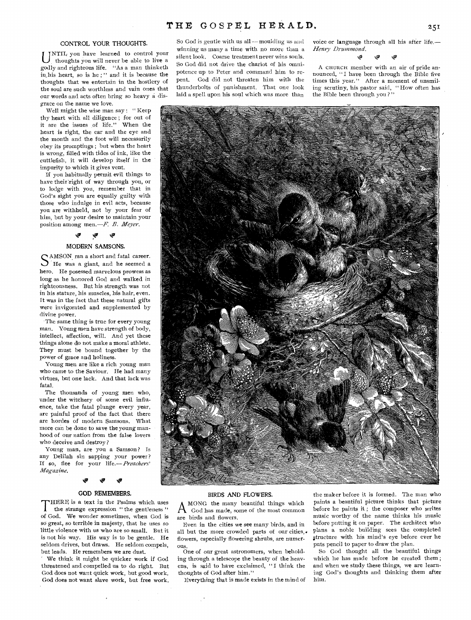#### **CONTROL YOUR THOUGHTS.**

**our words and acts often bring so heavy a dis grace on the name we love.**  UNTIL you have learned to control your thoughts you will never be able to live a **thoughts you will never be able to live a godly and righteous life. "As a man thinketh**  in his heart, so is he;" and it is because the **thoughts that we entertain in the hostlery of the soul are such worthless and vain** ones *that* 

**Well might the wise man say : " Keep thy heart with all diligence ; for out of it are the issues of life." When the heart is right, the ear and the eye and the month and the foot will necessarily obey its promptings ; but when** the heart **is wrong, filled with tides of ink, like** the **cuttlefish, it will develop itself in** the **impurity to which it gives vent.** 

**If you habitually permit evil things to have their>right of way through you, or to lodge with you, remember that** in **God's sight you are equally guilty** with **those who indulge in evil acts,** because **you are withheld, not by your** fear of **him, but by your desire to** maintain your position among men.-*F. B. Meyer.* 

#### لاب **!ir**

### **MODERN SAMSONS,**

SAMSON ran a short and fatal career.<br>S'He was a giant, and he seemed a He was a giant, and he seemed a hero. He posessed marvelous prowess as long as he honored God and walked in righteousness. But his strength was not in his stature, his muscles, his hair, even. It was in the fact that these natural gifts were invigorated and supplemented by divine power.

•The same thing is true for every young man. Young men have strength of body, **intellect,** affection, will. And yet these **things alone do** not make a moral athlete. **They must be** bound together by the **power of grace** and holiness.

**Young men** are like a rich young man **who came to** the Saviour. He had many **virtues, but** one lack. **And that** lack was fatal.

The thousands of **young men who,**  under the witchery **of some evil influence,** take the fatal **plunge every year,**  are painful proof of the fact that there are hordes of modern Sainsons. **What**  more can be done **to save the young manhood** of our nation from the false **lovers**  who deceive and destroy ?

Young man, are **you a Samson?** Is any Delilah sin sapping **your power?**  If so, flee for your *life.—Preachers' Magazine.* 

#### **\*IF**

#### **GOD REMEMBERS.**

**THERE** is a text in the Psalms which uses the strange expression "the gentleness" **of God. We** wonder **sometimes, when** God is **so great, so** terrible in majesty, **that he** *uses* **so little violence** with us who **are so small. But it is not his way.** His way is **to be gentle.** He seldom **drives,** but draws. He **seldom compels, but leads. He remembers we are dust.** 

**' We think it** might **be quicker work if God threatened and compelled us to do right. But God does not want quick work, but good work. God does not want slave work, but free work.**  So God is gentle with us all - moulding us and **winning us many a time with no more than a silent look. Coarse treatment never wins souls. So God did not drive the chariot of his omnipotence up to Peter and command him to repent. God did not threaten him with the thunderbolts of punishment. That one look laid a spell upon his soul which was more than** 

**voice or language through all his after life.—** *Henry Drummond.* 

$$
\omega_{\nu} \qquad \omega_{\nu} \qquad \omega_{\nu}
$$

**A CHURCH member with an air of pride announced, "I have been through the Bible five times this year." After a moment of unsmiling scrutiny, his pastor said, " How often has the Bible been through you ? "** 



#### **BIRDS AND FLOWERS.**

A **God** has made, so are birds and flowers. **MONG the many beautiful things which God has made, some of the most common** 

**Even in the cities we see many birds, and in**  all but the more crowded parts of our cities,. flowers, **especially flowering shrubs, are numerous.** 

**One of our great astronomers, when beholding through a telescope the beauty of the heavens, is said to have exclaimed, "I think the thoughts of God after him."** 

**Everything that is made exists in the mind of** 

the maker before **it is formed. The man who**  paints a **beautiful picture thinks that picture before he paints it ; the composer who writes music worthy of the name thinks his music before putting it on paper. The architect who plans a noble building sees the completed structure with his mind's eye before ever he puts pencil to paper to draw the plan.** 

**So God thought all the beautiful things which he has made before he created them ; and when we study these things, we are learning God's thoughts and thinking them after him.**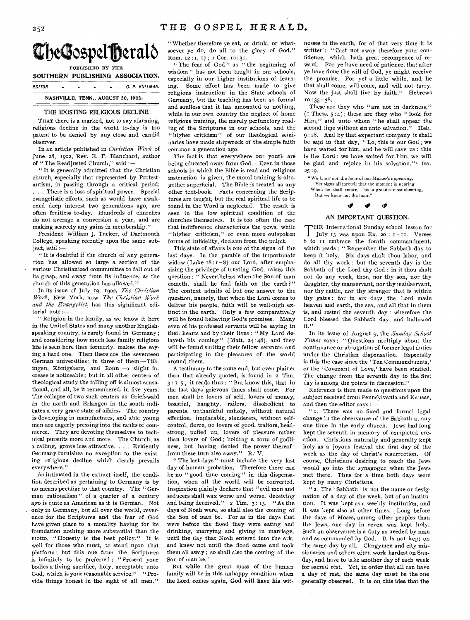

PUBLISHED BY THE SOUTHERN PUBLISHING ASSOCIATION.

EDITOR - - - - C. P. BOLLMAN. **NASHVILLE, TENN., AUGUST 20, 1902.** 

#### THE EXISTING RELIGIOUS DECLINE,

**THAT** there is a marked, not to say alarming, religious decline in the world to-day is too patent to be denied by any close and candid observer.

In an article published in *Christian Work* of June 28, 1902, Rev. E. F. Blanchard, author of "The Readjusted Church," said ;—

" It is generally admitted that the Christian church, especially that represented by Protestantism, in passing through a critical period. . . , There is a loss of spiritual power. Special evangelistic efforts, such as would have awakened deep interest two generations ago, are often fruitless to-day. Hundreds of churches do not average a conversion a year, and are making scarcely any gains in membership."

President William J. Tucker, of Dartmouth College, speaking recently upon the same subject, said :—

" It is doubtful if the church of any generation has allowed so large a section of the various Christianized communities to fall out of its grasp, and away from its influence, as the church of this generation has allowed."

In its issue of July 19, 1902, The Christian *Work,* New York, now *The Christian Work and the Evangelist,* has this significant editorial note :—

" Religion in the family, as we know it here in the United States and many another Englishspeaking country, is rarely found in Germany ; and considering how much less family religious life is seen here than formerly, makes the saying a hard one. Then there are the seventeen German universities ; in three of them —Tubingen, Königsberg, and Bonn-a slight increase is noticeable ; but in all other centers of theological study the falling off is almost sensational, and all, be it remembered, in five years. The collapse of two such centers as Griefswald in the north and Erlangen in the south indicates a very grave state of affairs. The country is developing in manufactures, and able young men are eagerly pressing into the ranks of commerce. They are devoting themselves to technical pursuits more and more. The Church, as a calling, grows less attractive. . . . Evidently Germany furnishes no exception to the existing religious decline which clearly prevails everywhere."

As intimated in the extract itself, the condition described as pertaining to Germany is by no means peculiar to that country. The " German rationalism " of *a* quarter of a century ago is quite as American as it is German. Not only in Germany, but all over the world, reverence for the Scriptures and the fear of God have given place to a morality having for its foundation nothing more substantial than the motto, "Honesty is the best policy." It is well for those who must, to stand upon that platform ; but this one from the Scriptures is infinitely to be preferred : " Present your bodies a living sacrifice, holy, acceptable unto God, which is your reasonable service." "Provide things honest in the sight of all men."

" Whether therefore ye eat, or drink, or whatsoever ye do, do all to the glory of God." Rom. 12:1, 17; I Cor. 10:31.

" The fear of God" as " the beginning of wisdom " has not been taught in our schools, especially in our higher institutions of learning. Some effort has been made to give religious instruction in the State schools of Germany, but the teaching has been so formal and soulless that it has amounted to nothing, while in our own country the neglect of home religious training, the merely perfunctory reading of the Scriptures in our schools, and the "higher criticism" of our theological seminaries have made shipwreck of the simple faith common a generation ago.

The fact is that everywhere our youth are being educated away from God. Even in those schools in which the Bible is read and religious instruction is given, the moral training is altogether superficial. The Bible is treated as any other text-book. Facts concerning the Scriptures are taught, but the real spiritual life to be found in the Word is neglected. The result is seen in the low spiritual condition of the churches themselves. It is too often the case that indifference characterizes the pews, while "higher criticism," or even more outspoken forms of infidelity, declaim from the pulpit.

This state of affairs is one of the signs of the last days. In the parable of the importunate widow (Luke 18:1-8) our Lord, after emphasizing the privilege of trusting God, raises this question : " Nevertheless when the Son of man cometh, shall he find faith on the earth?" The context admits of but one answer to the question, namely, that when the Lord comes to deliver his people, faith will be well-nigh extinct in the earth. Only a few comparatively will be found believing God's promises. Many even of his professed servants will be saying in their hearts and by their lives : " My Lord delayeth his coming" (Matt. 24:48), and they will be found smiting their fellow servants and participating in the pleasures of the world around them.

A testimony to the same end, but even plainer than that already quoted, is found in 2 Tim. 3 : 1-5 ; it reads thus : " But know this, that in the last days grievous times shall come. For men shall be lovers of self, lovers of money, boastful, haughty, railers, disobedient to parents, unthankful unholy, without natural affection, implacable, slanderers, without selfcontrol, fierce, no lovers of good, traitors, headstrong, puffed up, lovers of pleasure rather than lovers of God ; holding a form of godliness, but having denied the power thereof : from these turn also away." R. V.

" The last days" must include the very last day of human probation. Therefore there can be no " good time coming" in this dispensation, when all the world will be converted. Inspiration plainly declares that "evil men and seducers shall wax worse and worse, deceiving and being deceived."  $2$  Tim.  $3:13$ . "As the days of Noah were, so shall also the coming of the Son of man be. For as in the days that were before the flood they were eating and drinking, marrying and giving in marriage, until the day that Noah entered into the ark, and knew not until the flood came and took them all away ; so shall also the coming of the Son of man be."

But while the great mass of the human family will be in this unhappy condition when the Lord comes again, God will have his witnesses in the earth, for of that very time it is written': " Cast not away therefore your confidence, which hath great recompence of reward. For ye have need of patience, that after ye have done the will of God, ye might receive the promise. For yet a little while, and he that shall come, will come, and will not tarry. Now the just shall live by faith." Hebrews  $10$  : 35 - 38.

These are they who "are not in darkness,"  $(I$  Thess.  $5:4$ ; these are they who "look for Him," and unto whom "he shall appear the second time without sin unto salvation." Heb. 9 :18. And by that expectant company it shall be said in that day, "Lo, this is our God; we have waited for him, and he will save us : this is the Lord : we have waited for him, we will be glad and rejoice in his salvation."<sup>\*</sup> Isa. 25:9.

" We know not the hour *of* our *Master's appearing,*  Yet signs all foretell that the moment is nearing When he shall return,—'tis a promise most cheering, But we know not the hour."

# iv Nag tr

#### AN IMPORTANT QUESTION,

THE International Sunday school lesson for<br>July 13 was upon Ex. 20 :  $I-II$ . Verses HE International Sunday school lesson for 8 to it embrace the fourth commandment, which reads : " Remember the Sabbath day to keep it holy. Six days shalt thou labor, and do all thy work : but the seventh day is the Sabbath of the Lord thy God : in it thou shalt not do any work, thou, nor thy son, nor thy daughter, thy manservant, nor thy maidservant, nor thy cattle, nor thy stranger that is within thy gates : for in six days the Lord made heaven and earth, the sea, and all that in them is, and rested the seventh day : wherefore the Lord blessed the Sabbath day, and hallowed it."

In its issue of August 9, the *Sunday School Times* says : " Questions multiply about the continuance or abrogation of former legal duties under the Christian dispensation. Especially is this the case since the 'Ten Commandments,' or the 'Covenant of Love,' have been studied. The change from the seventh day to the first day is among the points in discussion."

Reference is then made to questions upon the subject received from Penns'ylvania and Kansas, and then the editor says :—

" I. There was no fixed and formal legal change in the observance of the Sabbath at any one time in the early church. Jews had long kept the seventh in memory of completed creation. Christians naturally and generally kept holy as a joyous festival the first day of the week as the day of Christ's resurrection. Of course, Christians desiring to reach the Jews would go into the synagogue when the Jews met there. Thus for a time both days were kept by many Christians.

"2. The 'Sabbath' is not the name or designation of a day of the week, but of an institution. It was kept as a weekly institution, and it was kept also at other times. Long before the days of Moses, among other peoples than the Jews, one day in seven was kept holy. Such an observance is a duty as needed by man and as commanded by God. It is not kept on the same day by all. Clergymen and city missionaries and others often work hardest on Sunday, and have to take another day of each week for sacred rest. Yet, in order that all can have a day of rest, the same day must be the one generally observed. It is on this idea that the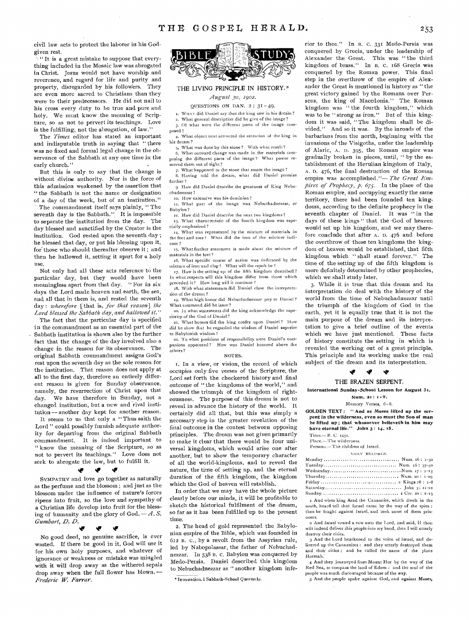civil law acts to protect the laborer in his Godgiven rest.

" It is a great mistake to suppose that everything included in the Mosaic law was abrogated in Christ. Jesus would not have worship and reverence, and regard for life and purity and property, disregarded by his followers. They are even more sacred to Christians than they were to their predecessors. He did not nail to his cross every duty to be true and pure and holy. We must know the meaning of Scripture, so as not to pervert its teachings. Love is the fulfilling, not the abrogation, of law."

The *Times* editor has stated an important and indisputable truth in saying that  $\ddot{u}$  there was no fixed and formal legal change in the observance of the Sabbath at any one time in the early church."

But this is only to say that the change is without divine authority. Nor is the force of this admission weakened by the assertion that " the Sabbath is not the name or designation of a day of the week, but of an institution."

The commandment itself says plainly, " The seventh day is the Sabbath." It is impossible to separate the institution front the day. The day blessed and sanctified by the Creator is the institution. God rested upon the seventh day ; he blessed that day, or put his blessing upon it, for' those who should thereafter observe it ; and then he hallowed it, setting it apart for a holy use.

Not only had all these acts reference to the particular day, but they would have been meaningless apart from that day. " For in six days the Lord made heaven and earth, the sea, and all that in them is, and rested the seventh day : *wherefore* [that is, *for that reason] the Lord blessed the Sabbath day, and hallowed it."* 

The fact that the particular day is specified in the commandment as an essential part of the Sabbath institution is shown also by the further fact that the change of the day involved also a change in the reason for its observance. The original Sabbath commandment assigns God's rest upon the seventh day as the sole reason for the institution. That reason does not apply at all to the first day, therefore an entirely different reason is given for Sunday observance, namely, the resurrection of Christ upon that day. We have therefore in Sunday, not a changed institution, but a new and rival institution — another day kept for another reason.

It seems to us that only a " Thus saith the Lord " could possibly furnish adequate authority for departing front the original Sabbath commandment. It is indeed important to " know the meaning of the Scripture, so as not to pervert its teachings." Love does not seek to abrogate the law, but to fulfill it.

#### tir

 $\bullet$ 

**SYMPATHY'** and love go together as naturally as the perfume and the blossom ; and just as the blossom under the influence of nature's forces ripens into fruit, so the love and sympathy of a Christian life develop into fruit for the blessing of humanity and the glory of God. — *A. S. Gumbarl, D. D. iv 19 IP* 

No good deed, no genuine sacrifice, is ever wasted. If there be good in it, God will use it for his own holy purposes, and whatever of ignorance or weakness or mistake was mingled with it will drop away as the withered sepals drop away when the full flower has blown.*'— Frederic W. Farrar.* 



#### THE LIVING PRINCIPLE IN HISTORY,\*

*August 3o, 1902.* 

**QUESTIONS ON DAN. 2 : 31** 49.

x. WT1AT **did** Daniel say **that the king saw in his dre**am"

**a. What general description did he give of the image?** 

**p p p p p externe a <b>externe a externe different** parts of the image composed ?

**.4. What object next attracted the attention of the king in his dream ?** 

**5. What was done by this stone? With what result?** 

**6. What outward change was made in the materials contposing the different parts of the image** 7 **What power removed them out of sight?** 

**7. What happened to the stone** that smote the image ? 8. Having told **the dream,** what did Daniel promise further<sup>9</sup>

9 How **did Daniel describe the greatness** of King Nebuchadnezzar?

so. How **extensive was his dominion?** 

11. What part of the image was Nebuchadnezzar, or Babylon ?

iz. How **did Daniel describe the next two kingdoms?** 

.3. What **characteristic of the fourth kingdom was especially emphasized?** 

.4- **What was represented** by the **mixture of materials** in the **feet and toes?** What did the iron **of the mixture** indicate **?** 

**x5. What further statement is made about the mixture of materials in the feet?** 

**16. What specific course** of action was indicated by the **mixture of iron and clay?** What will the **result be ?** 

**17. How is the setting** up of the fifth **kingdom described ? In what respects** will this kingdom differ **from those which preceded it?** How long will it continue?

**18. With what** statements did **Daniel close the interpretation** of the dream 7

19. What high honor did **Nebuchadnezzar pay to Daniel? What** command did he issue?

**2o.** In what statements **did the king acknowledge the superiority** of the **God of** Daniel?

us. What **honors did the king confer** upon Daniel? How did he show **that he** regarded **the wisdom** of Daniel **superior**  to Babylonish **wisdom ?** 

22. To **what positions of responsibility** were **Daniel's companions appointed ?** How was **Daniel honored above the**  others ?

#### NOTES.

I. In a view, or vision, the record of which occupies only five verses of the Scripture, the Lord set forth the checkered history and final outcome of " the kingdoms of the world," and showed the triumph of the kingdom of righteousness. The purpose of this dream is not to reveal in advance the history of the world. It certainly did all that, but this was simply a necessary step in the greater revelation of the final outcome in the contest between opposing principles. The dream was not given primarily to make it clear that there would be four universal kingdoms, which would arise one after another, but to show the temporary character of all the world-kingdoms, and to reveal the nature, the time of setting up, and the eternal duration of the fifth kingdom, the kingdom which the God of heaven will establish.

In order that we may have the whole picture clearly before our minds, it will be profitable to sketch the historical fulfilment of the dream, so far as it has been fulfilled up to the present time.

2. The head of gold represented the Babylonian empire of the Bible, which was founded in 612 B. C., by a revolt from the Assyrian rule, led by Nabopolassar, the father of Nebuchadnezzar. In 538 B. C. Babylon was conquered by Medo-Persia. Daniel described this kingdom to Nebuchadnezzar as " another kingdom infe-

\*Internation. **I Sabbath-School** Quarte.ly.

rior to thee." In B. C. 331 Medo-Persia was conquered by Grecia, under the leadership of Alexander the Great. This was " the third kingdom of brass." In B. c. 168 Grecia was conquered by the Roman power. This final step in the overthrow of the empire of Alexander the Great is mentioned in history as " the great victory gained by the Romans over Perseus, the king of Macedonia." The Roman kingdom was " the fourth kingdom," which was to be "strong as iron." But of this kingdom it was said, "The kingdom shall be divided." And so it was. By the inroads of the barbarians from the north, beginning with the invasions of the Visigoths, under the leadership of Alaric, A. D. 395, the Roman empire was gradually broken in pieces, until, " by the establishment of the Herulian kingdom of Italy, A. D. 476, the final destruction of the Roman empire was accomplished."— *The Great Empires of Prophecy, p. 675.* In the place of the Roman empire, and occupying exactly the same territory, there had been founded ten kingdom's, according to the definite prophecy in the seventh chapter of Daniel. It was "in the days of these kings" that the God of heaven would set up his kingdom, and we may therefore conclude that after A. D. 476 and before the overthrow of these ten kingdoms the kingdom of heaven would be established, that fifth kingdom which " shall stand forever." The time of the setting up of the fifth kingdom is more definitely determined by other prophecies, which we shall study later.

3. While it is true that this dream and its interpretation do deal with the history of the world front the time of Nebuchadnezzar until the triumph of the kingdom of God in the earth, yet it is equally true that it is not the main purpose of the dream and its interpretation to give a brief outline of the events which we have just mentioned. These facts of history constitute the setting in which is revealed the working out of a great principle. This principle and its working make the real subject of the dream and its interpretation.

#### THE BRAZEN SERPENT,

International Sunday-School. Lesson for August 31.

40'

#### Num. 21: 1=9. Memory Verses, 6-8.

GOLDEN TEXT: "And as Moses lifted up the serpent in the wilderness, even so must the Son of man be lifted up; that whosoever believeth in him may have eternal life." John **3 : 14, 15.** 

**Time.— B. C. 1452.** 

**Place.—The wilderness.**  Persons.<sup>-</sup>The children of Israel.

i)Ait.Y READiNGS.

| I And when king Arad the Canaanite, which dwelt in the<br>south, heard tell that Israel came by the way of the spies; |
|-----------------------------------------------------------------------------------------------------------------------|

then he fought against Israel, and took **some** of then. **prisoners. 2** And Israel vowed a vow unto the ford, and said, If thou

wilt indeed **deliver** this people into my hand, then **I** will utterly destroy their **cities.** 

3 And the **Lord** hearkened to the voice of Israel, and delivered up the Canaanites : and they utterly destroyed them and their cities : and he called the name of the place Hormah.'

4 And they journeyed from Mount Hor by the way of the Red Sea, to compass the land of Edom : and the soul of the people was much discouraged because of the way.

5 And the people spake against God, and against Moses,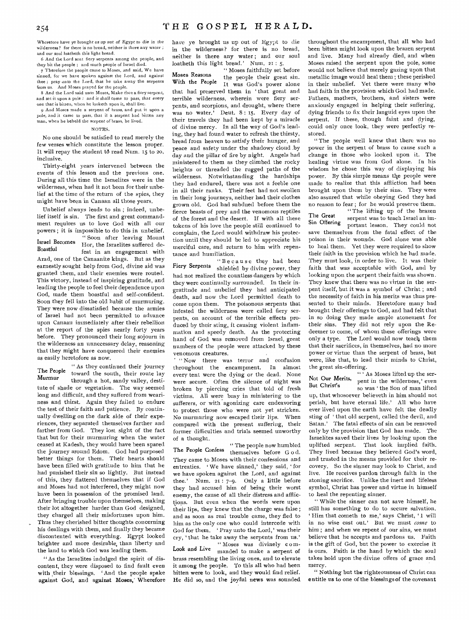Wherefore have ye brought *us* up out of *Egypt* to die *in* the wilderness? for there is no bread, neither is there any water ; and our soul loatheth this light bread.

6 And the Lord sent fiery serpents among the people, and they bit the people ; and much people of Israel died.

7 Therefore the people came to Moses, and said, We have sinned, for we have spoken against the Lord, and against thee ; pray anto the Lord, that he take away the serpents from us. And Moses prayed for the people.

8 And the Lord said unto Moses, Make thee a fiery serpent, and set it upon a pole : and it shall come to pass, *that* every one that is bitten, when he looketh upon it, shall live.

9 And Moses made a serpent of brass, and put it upon a pole, and it came to pass, that if a serpent had bitten any man, when he beheld the serpent of brass, be lived.

#### NOTES.

No one should be satisfied to read merely the few verses which constitute the lesson proper. It will repay the student t6 read Num. 15 to 20, inclusive.

Thirty-eight years intervened between the events of this lesson and the previous one. During all this time the Israelites were in the wilderness, when had it not been for their unbelief at the time of the return of the spies, they might have been in Canaan all those years.

Unbelief always leads to sin ; indeed, unbelief itself is sin. The first and great commandment requires us to love God with all our powers ; it is impossible to do this in unbelief. " Soon after leaving Mount Israel Becomes Hor, the Israelites suffered defeat in an engagement with Arad, one of the Canaanite kings. But as they earnestly sought help from God, divine aid was granted them, and their enemies were routed. This victory, instead of inspiring gratitude, and leading the people to feel their dependence upon God, made them boastful and self-confident. Soon they fell into the old habit of murmuring. They were now dissatisfied because the armies of Israel had not been permitted to advance upon Canaan immediately after their rebellion at the report of the spies nearly forty years before. They pronounced their long sojourn in the wilderness an unnecessary delay, reasoning that they might have conquered their enemies as easily heretofore as now.

" As they continued their journey The People toward the south, their route lay Murmur<br>through a hot, sandy valley, destitute of shade or vegetation, The way seemed long and difficult, and they suffered from weariness and thirst. Again they failed to endure the test of their faith and patience. By continually dwelling on the dark side of their experiences, they separated themselves farther and farther from God. They lost sight of the fact that but for their murmuring when the water ceased at Kadesh, they would have been spared the journey around Edom. God had purposed better things for them. Their hearts should have been filled with gratitude to him that he had punished their sin so lightly. But instead of this, they flattered themselves that if God and Moses had not interfered, they might now have been in possession of the promised land. After bringing trouble upon themselves, making their lot altogether harder than God designed, they charged all their misfortunes upon him. Thus they cherished bitter thoughts concerning his dealings with them, and finally they became discontented with everything. Egypt looked brighter and more desirable, than liberty and the land to which God was leading them.

" As the Israelites indulged the spirit of discontent, they were disposed to find fault even with their blessings. 'And the people spake against God, and against Moses, Wherefore have ye brought us up out of Egypt to die in the wilderness? for there is no bread, neither is there any water; and our soul loatheth this light bread.' Num. 21 : 5.

" Moses faithfully set before Moses Reasons the people their great sin.<br>With the People their great sin. It was God's power alone that had preserved them in 'that great and terrible wilderness, wherein were fiery serpents, and scorpions, and drought, where there was no water.' Deut. 8: 15. Every day of their travels they had been kept by a miracle of divine mercy. In all the way of God's leading, they had found water to refresh the thirsty, bread from heaven to satisfy their hunger, and peace and safety under the shadowy cloud .by day and the pillar of fire by night. Angels had ministered to them as they climbed the rocky heights or threaded the rugged paths of the wilderness. Notwithstanding the hardships they had endured, there was not a feeble one in all their ranks. Their feet had not swollen in their long journeys, neither had their clothes grown old. God had subdued before them the fierce beasts of prey and the venomous reptiles of the forest and the desert. If with all these tokens of his love the people still continued to complain, the Lord would withdraw his protection until they should be led to appreciate his merciful care, and return to him with repentance and humiliation.

"Because they had been Fiery Serpents shielded by divine power, they had not realized the countless dangers by which they were continually surrounded. In their ingratitude and unbelief they had anticipated death, and now the Lord permitted death to come upon them. The poisonous serpents that infested the wilderness were called fiery serpents, on account of the terrible effects produced by their sting, it causing violent inflammation and speedy death. As the protecting hand of God was removed from Israel, great numbers of the people were attacked by these venomous creatures.

" Now there was terror and confusion throughout the encampment. In almost every tent were the dying or the dead. None were secure. Often the silence of night was broken by piercing cries that told of fresh victims. All were busy in ministering to the sufferers, or with agonizing care endeavoring to protect those who were not yet stricken. No murmuring now escaped their lips. When compared with the present suffering, their former difficulties and trials seemed unworthy of a thought.

" The people now humbled The People Confess themselves before G o d. They came to Moses with their confessions and entreaties. 'We have sinned,' they said, 'for we have spoken against the Lord, and against thee.' Num. 21 : 7-9. Only a little before they had accused him of being their worst enemy, the cause of all their distress and afflictions. But even when the words were upon their lips, they knew that the charge was false ; and as soon as real trouble came, they fled to him as the only one who could intercede with God for them. Pray unto the Lord,' was their cry, that he take away the serpents from us.' " Moses was divinely com-Look and Live manded to make a serpent of brass resembling the living ones, and to elevate it among the people. To this all who had been bitten were to look, and they would find relief. He did so, and the joyful news was sounded

throughout the encampment, that all who had been bitten might look upon the brazen serpent and live. Many had already died, and when Moses raised the serpent upon the pole, some would not believe that merely gazing upon that metallic image would heal them ; these perished in their unbelief. Yet there were many who had faith in the provision which God had made. Fathers, mothers, brothers, and sisters were anxiously engaged in helping their suffering, dying friends to fix their languid eyes upon the serpent. If these, though faint and dying, could only once look, they were perfectly restored.

" The people well knew that there was no power in the serpent of brass to cause such a change in those who looked upon it. The healing virtue was from God alone. In his wisdom he chose this way of displaying his power. By this simple means the people were made to realize that this affliction had been brought upon them by their sins. They were also assured that while obeying God they had no reason to fear ; for he would preserve them.

"The lifting up of the brazen The Great serpent was to teach Israel an im-<br>Sin Offering serpent uses to teach Israel an important lesson. They could not save themselves from the fatal effect of the poison in their wounds. God alone was able to heal them. Yet they were required to show their faith in the provision which he had made. They must look, in order to live. It was their faith that was acceptable with God, and by looking upon the serpent their faith was shown. They knew that there was no virtue in the serpent itself, but it was a symbol of Christ ; and the necessity of faith in his merits was thus presented to their minds. Heretofore many had brought their offerings to God, and had felt that in so doing they made ample atonement for their sins. They did not rely upon the Redeemer to come, of whom these offerings were only a type. The Lord would now teach them that their sacrifices, in themselves, had no more power or virtue than the serpent of brass, but were, like that, to lead their minds to Christ, the great sin-offering.

" As Moses lifted up the ser-Not Our Merits, pent in the wilderness,' even But Christ's so was ' the Son of man lifted

up, that whosoever believeth in him should not perish, but have eternal life.' All who have ever lived upon the earth have felt the deadly sting of 'that old serpent, called the devil, and Satan.' The fatal effects of sin can be removed only by the provision that God has made. The Israelites saved their lives by looking upon the uplifted serpent. That look implied faith. They lived because they believed God's word, and trusted in the means provided for their recovery. So the sinner may look to Christ, and live. He receives pardon through faith in the atoning sacrifice. Unlike the inert and lifeless symbol, Christ has power and virtue in himself to heal the repenting sinner.

" While the sinner can not save himself, he still has something to do to secure salvation. 'Him that cometh to me,' says Christ, '1 will in no wise cast out.' But we must *come* to him ; and when we repent of our sins, we must believe that he accepts and pardons us. Faith is the gift of God, but the power to exercise it is ours. Faith is the hand by which the soul takes hold upon the divine offers of grace and mercy.

" Nothing but the righteousness of Christ can entitle us to one of the blessings of the covenant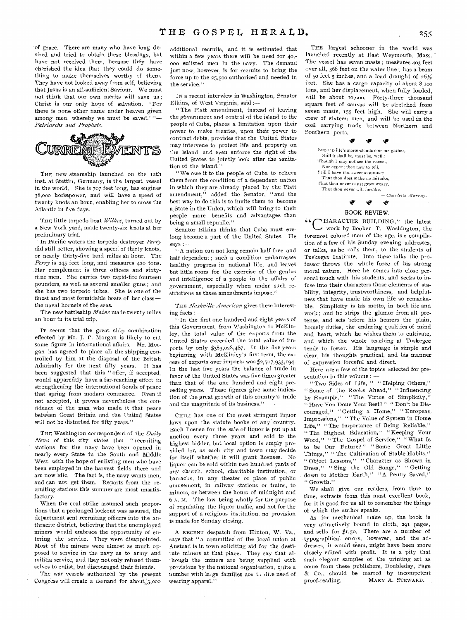of grace. There are many who have long desired and tried to obtain these blessings, but have not received them, because they have cherished the idea that they could do something to make themselves worthy of them. They have not looked away from self, believing that Jesus is an all-sufficient Saviour. We must not think that our own merits will save us ; Christ is our only hope of salvation. For there is none other name under heaven given among men, whereby we must be saved.' *"— Patriarchs and Prophets.* 



THE new steamship launched on the 12th inst. at Stettin, Germany, is the largest vessel in the world, She is 707 feet long, has engines 38,000 horsepower, and will have a speed of twenty knots an hour, enabling her to cross the Atlantic in five days.

THE little torpedo boat *Wilkes,* turned out by a New York yard, made twenty-six knots at her preliminary trial.

In Pacific waters the torpedo destroyer *Perry*  did still better, showing a speed of thirty knots, or nearly thirty-five land miles an hour. The *Perry* is 245 feet long, and measures 420 tons. Her complement is three officers and sixtynine men. She carries two rapid-fire fourteen pounders, as well as several smaller guns ; and she has two torpedo tubes. She is one of the finest and most formidable boats of her class the naval hornets of the seas.

The new battleship *Maine* made twenty miles an hour in its trial trip.

IT seems that the great ship combination effected by Mr. J. P. Morgan is likely to cut some figure in international affairs. Mr. Morgan has agreed to place all the shipping controlled by him at the disposal of the British Admiralty for the next fifty years. It has been suggested that this " offer, if accepted, would apparently have a far-reaching effect in strengthening the international bonds of peace that spring from modern commerce. Even if not accepted, it proves nevertheless the confidence of the man, who made it that peace betw'een Great Britain and the United States will not be disturbed for fifty years.'

THE Washington correspondent of the *Daily News* of this city states that " recruiting stations for the navy have been opened in nearly every State in the South and Middle West, with the hope of enlisting men who have been employed in the harvest fields there and are now idle. The fact is, the navy wants men, and can not get them. Reports from the recruiting stations this summer are most unsatisfactory.

When the coal strike assumed such proportions that a prolonged lockout was assured, the department sent recruiting officers into the anthracite district, believing that the unemployed miners would embrace the opportunity of entering the service. They were disappointed. Most of the miners were almost as much opposed to service in the navy as to army and militia service, and they not only refused themselves to enlist, but discouraged their friends.

The war vessels authorized by the present Congress will create a demand for about 3,000

additional recruits, and it is estimated that within a few years there will be need for 40,- 000 enlisted men in the navy. The demand just now, however, is for recruits to bring the force up to the 25,500 authorized and needed in the service."

IN a recent interview in Washington, Senator Elkins, of West Virginia, said :—

" The Platt amendment, instead of leaving the government and control of the island to the people of Cuba, places a limitation upon their power to make treaties, upon their power to contract debts, provides that the United States may intervene to protect life and property on the island, and even enforce the right of the United States to jointly look after the sanitation of the island."

" We owe it to the people of Cuba to relieve them from the condition of a dependent nation in which they are already placed by the Platt amendment," added the Senator, " and the best way to do this is to invite them to become a State in the Union, which will bring to their people more benefits and advantages than being a small republic."

Senator Elkins thinks that Cuba must erelong become a part of the United States. He says :-

A nation can not long remain half free and half dependent ; such a condition embarrasses healthy progress in national life, and leaves but little room for the exercise of the genius and intelligence of a people in the affairs of government, especially when under such restrictions as these amendments impose."

THE *Nashville American* gives these interesting facts : —

If In the first one hundred and eight years of this Government, from Washington to McKinley, the total value of the exports from the United States exceeded the total value of imports by only \$383,028,487. In the five years beginning with McKinley's first term, the excess of exports over imports was \$2,707,933,194. In the last five years the balance of trade in favor of the United States was five times greater than that of the one hundred and eight preceding years. These figures give some indication of the great growth of this country's trade and the magnitude of its business."

CHILI has one of the most stringent liquor laws upon the statute books of any country. Each license for the sale of liquor is put up at auction every three years and sold to the highest bidder, but local option is amply provided for, as each city and town may decide for itself whether it will grant licenses. No liquor can be sold within two hundred yards of any church, school, charitable institution, or barracks, in any theater or place of public amusement, in railway stations or trains, to minors, or between the hours of midnight and 6 A. M. The law being wholly for the purpose of regulating the liquor traffic, and not for the support of a religious institution, no provision is made for Sunday closing.

A RECENT despatch from Hinton, W. Va., says that "a committee' of the local union at Anstead is in town soliciting aid for the destitute miners at that place. They say that although the miners are being supplied with previsions by the national organization, quite a number with large families are in dire need of wearing apparel."

THE largest schooner in the world was launched recently at East Weymouth, Mass. The vessel has seven masts; measures 403 feet over all, 368 feet on the water line ; has a beam of 50 feet 5 inches, and a load draught of  $26\frac{1}{2}$ feet. She has a cargo capacity of about 8,100 tons, and her displacement, when fully loaded, will be about 10,000. Forty-three thousand square feet of canvas will be stretched from seven masts, 155 feet high. She will carry a crew of sixteen men, and will be used in the coal carrying trade between Northern and Southern ports.

> **te**  Snot:LD life's storm-clouds o'er me gather, Still it shall be, must be, well; Though 1 may not see the reason. Nor expect thee now to tell, Still I have this sweet assurance That thou dost make no mistake, That thou never canst grow weary, That thou never wilt forsake. — Charlotte Murray. **it vP II**

#### BOOK REVIEW.

HARACTER BUILDING," the latest V—, work by Booker T. Washington, the foremost colored man of the age, is a compilation of a few of his Sunday evening addresses, or talks, as he calls them, to the students of Tuskegee Institute. Into these talks the professor throws the whole force of his strong moral nature. Here he comes into close personal touch with his students, and seeks to infuse into their characters those elements of stability, integrity, trustworthiness, and helpfulness that have made his own life so remarkable. Simplicity is his motto, in both life and work ; and he strips the glamor from all pretense, and sets before his hearers the plain, homely duties, the enduring qualities of mind and heart, which he wishes them to cultivate, and which the whole teaching at Tuskegee tends to foster. His language is simple and clear, his thoughts practical, and his manner of expression forceful and direct.

Here are a few of the topics selected for presentation in this volume : -

" Two Sides of Life, " " Helping Others," " Some of the Rocks Ahead," "Influencing by Example," "The Virtue of Simplicity, " Have You Done Your Best?" " Don't be Discouraged," " Getting a Home," " European. Impressions," " The Value of System in Home Life," " The Importance of Being Reliable," " The Highest Education," "Keeping Your Word," " The Gospel of Service," " What Is to be Our Future? " " Some Great Little Things," "The Cultivation of Stable Habits," " Object Lessons," " Character as Shown in Dress," " Sing the Old Songs," " Getting down to Mother Earth," "A Penny Saved," " Growth."

We shall give our readers, from time to time, extracts from this most excellent book, for it is good for us all to remember the things of which the author speaks.

As for mechanical make up, the book is very attractively bound in cloth, 291 pages, and sells for \$1.5o. There are a number of . typographical errors, however, and the addresses, it would seem, might have been more closely edited with profit. It is a pity that such elegant samples of the printing art as come from these publishers, Doubleday, Page & Co., should be marred by incompetent proof-reading. MARY A. STEWARD.